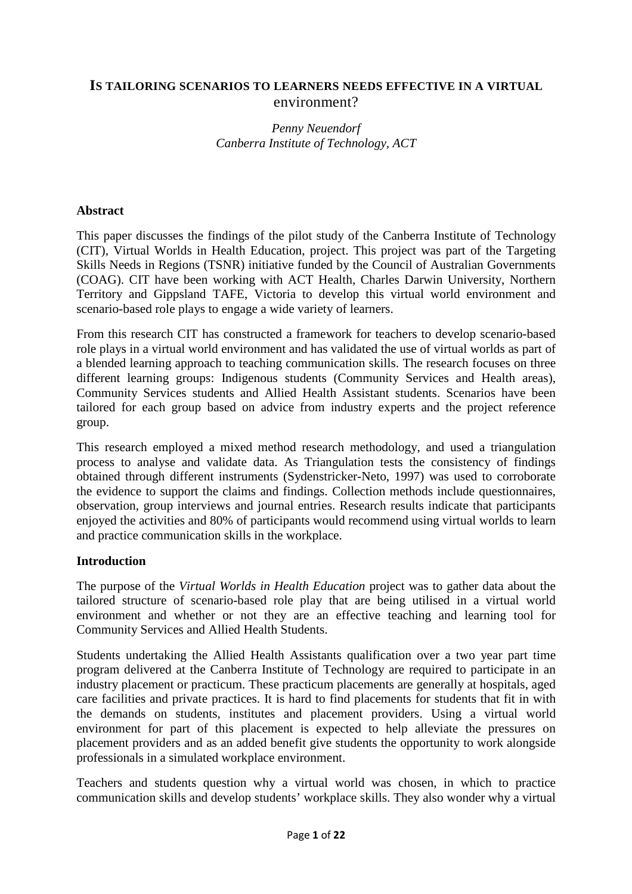# **IS TAILORING SCENARIOS TO LEARNERS NEEDS EFFECTIVE IN A VIRTUAL**  environment?

## *Penny Neuendorf Canberra Institute of Technology, ACT*

### **Abstract**

This paper discusses the findings of the pilot study of the Canberra Institute of Technology (CIT), Virtual Worlds in Health Education, project. This project was part of the Targeting Skills Needs in Regions (TSNR) initiative funded by the Council of Australian Governments (COAG). CIT have been working with ACT Health, Charles Darwin University, Northern Territory and Gippsland TAFE, Victoria to develop this virtual world environment and scenario-based role plays to engage a wide variety of learners.

From this research CIT has constructed a framework for teachers to develop scenario-based role plays in a virtual world environment and has validated the use of virtual worlds as part of a blended learning approach to teaching communication skills. The research focuses on three different learning groups: Indigenous students (Community Services and Health areas), Community Services students and Allied Health Assistant students. Scenarios have been tailored for each group based on advice from industry experts and the project reference group.

This research employed a mixed method research methodology, and used a triangulation process to analyse and validate data. As Triangulation tests the consistency of findings obtained through different instruments (Sydenstricker-Neto, 1997) was used to corroborate the evidence to support the claims and findings. Collection methods include questionnaires, observation, group interviews and journal entries. Research results indicate that participants enjoyed the activities and 80% of participants would recommend using virtual worlds to learn and practice communication skills in the workplace.

## **Introduction**

The purpose of the *Virtual Worlds in Health Education* project was to gather data about the tailored structure of scenario-based role play that are being utilised in a virtual world environment and whether or not they are an effective teaching and learning tool for Community Services and Allied Health Students.

Students undertaking the Allied Health Assistants qualification over a two year part time program delivered at the Canberra Institute of Technology are required to participate in an industry placement or practicum. These practicum placements are generally at hospitals, aged care facilities and private practices. It is hard to find placements for students that fit in with the demands on students, institutes and placement providers. Using a virtual world environment for part of this placement is expected to help alleviate the pressures on placement providers and as an added benefit give students the opportunity to work alongside professionals in a simulated workplace environment.

Teachers and students question why a virtual world was chosen, in which to practice communication skills and develop students' workplace skills. They also wonder why a virtual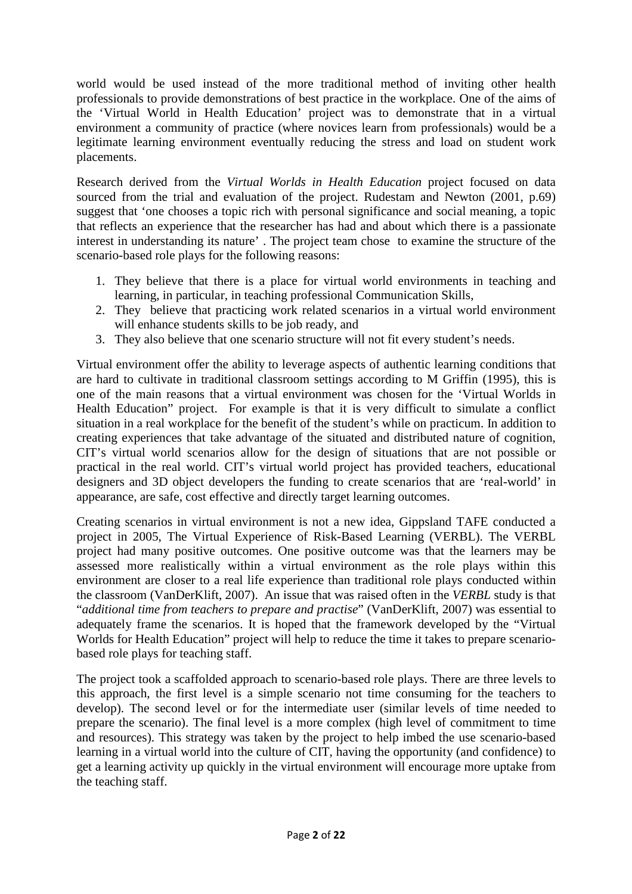world would be used instead of the more traditional method of inviting other health professionals to provide demonstrations of best practice in the workplace. One of the aims of the 'Virtual World in Health Education' project was to demonstrate that in a virtual environment a community of practice (where novices learn from professionals) would be a legitimate learning environment eventually reducing the stress and load on student work placements.

Research derived from the *Virtual Worlds in Health Education* project focused on data sourced from the trial and evaluation of the project. Rudestam and Newton (2001, p.69) suggest that 'one chooses a topic rich with personal significance and social meaning, a topic that reflects an experience that the researcher has had and about which there is a passionate interest in understanding its nature' . The project team chose to examine the structure of the scenario-based role plays for the following reasons:

- 1. They believe that there is a place for virtual world environments in teaching and learning, in particular, in teaching professional Communication Skills,
- 2. They believe that practicing work related scenarios in a virtual world environment will enhance students skills to be job ready, and
- 3. They also believe that one scenario structure will not fit every student's needs.

Virtual environment offer the ability to leverage aspects of authentic learning conditions that are hard to cultivate in traditional classroom settings according to M Griffin (1995), this is one of the main reasons that a virtual environment was chosen for the 'Virtual Worlds in Health Education" project. For example is that it is very difficult to simulate a conflict situation in a real workplace for the benefit of the student's while on practicum. In addition to creating experiences that take advantage of the situated and distributed nature of cognition, CIT's virtual world scenarios allow for the design of situations that are not possible or practical in the real world. CIT's virtual world project has provided teachers, educational designers and 3D object developers the funding to create scenarios that are 'real-world' in appearance, are safe, cost effective and directly target learning outcomes.

Creating scenarios in virtual environment is not a new idea, Gippsland TAFE conducted a project in 2005, The Virtual Experience of Risk-Based Learning (VERBL). The VERBL project had many positive outcomes. One positive outcome was that the learners may be assessed more realistically within a virtual environment as the role plays within this environment are closer to a real life experience than traditional role plays conducted within the classroom (VanDerKlift, 2007). An issue that was raised often in the *VERBL* study is that "*additional time from teachers to prepare and practise*" (VanDerKlift, 2007) was essential to adequately frame the scenarios. It is hoped that the framework developed by the "Virtual Worlds for Health Education" project will help to reduce the time it takes to prepare scenariobased role plays for teaching staff.

The project took a scaffolded approach to scenario-based role plays. There are three levels to this approach, the first level is a simple scenario not time consuming for the teachers to develop). The second level or for the intermediate user (similar levels of time needed to prepare the scenario). The final level is a more complex (high level of commitment to time and resources). This strategy was taken by the project to help imbed the use scenario-based learning in a virtual world into the culture of CIT, having the opportunity (and confidence) to get a learning activity up quickly in the virtual environment will encourage more uptake from the teaching staff.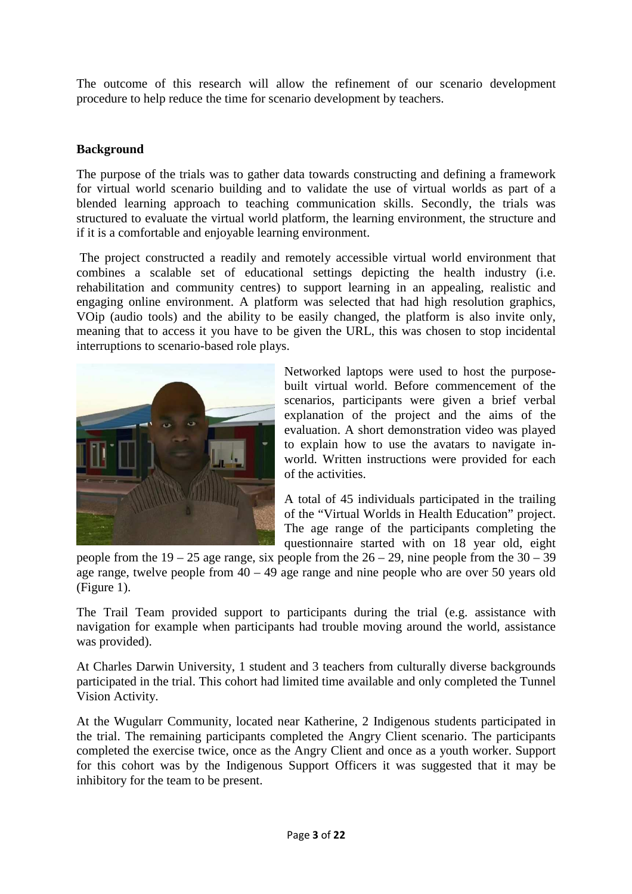The outcome of this research will allow the refinement of our scenario development procedure to help reduce the time for scenario development by teachers.

# **Background**

The purpose of the trials was to gather data towards constructing and defining a framework for virtual world scenario building and to validate the use of virtual worlds as part of a blended learning approach to teaching communication skills. Secondly, the trials was structured to evaluate the virtual world platform, the learning environment, the structure and if it is a comfortable and enjoyable learning environment.

The project constructed a readily and remotely accessible virtual world environment that combines a scalable set of educational settings depicting the health industry (i.e. rehabilitation and community centres) to support learning in an appealing, realistic and engaging online environment. A platform was selected that had high resolution graphics, VOip (audio tools) and the ability to be easily changed, the platform is also invite only, meaning that to access it you have to be given the URL, this was chosen to stop incidental interruptions to scenario-based role plays.



Networked laptops were used to host the purposebuilt virtual world. Before commencement of the scenarios, participants were given a brief verbal explanation of the project and the aims of the evaluation. A short demonstration video was played to explain how to use the avatars to navigate inworld. Written instructions were provided for each of the activities.

A total of 45 individuals participated in the trailing of the "Virtual Worlds in Health Education" project. The age range of the participants completing the questionnaire started with on 18 year old, eight

people from the  $19 - 25$  age range, six people from the  $26 - 29$ , nine people from the  $30 - 39$ age range, twelve people from 40 – 49 age range and nine people who are over 50 years old (Figure 1).

The Trail Team provided support to participants during the trial (e.g. assistance with navigation for example when participants had trouble moving around the world, assistance was provided).

At Charles Darwin University, 1 student and 3 teachers from culturally diverse backgrounds participated in the trial. This cohort had limited time available and only completed the Tunnel Vision Activity.

At the Wugularr Community, located near Katherine, 2 Indigenous students participated in the trial. The remaining participants completed the Angry Client scenario. The participants completed the exercise twice, once as the Angry Client and once as a youth worker. Support for this cohort was by the Indigenous Support Officers it was suggested that it may be inhibitory for the team to be present.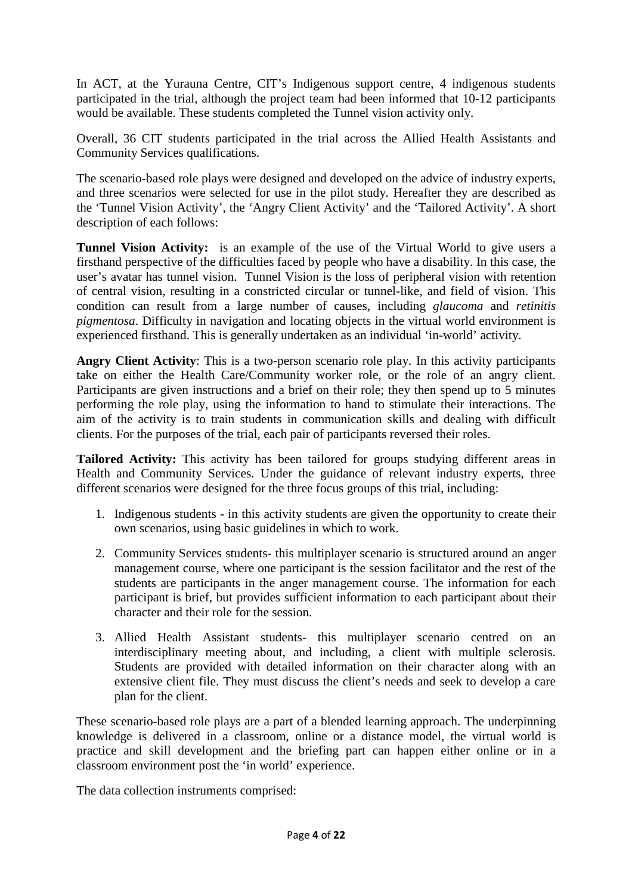In ACT, at the Yurauna Centre, CIT's Indigenous support centre, 4 indigenous students participated in the trial, although the project team had been informed that 10-12 participants would be available. These students completed the Tunnel vision activity only.

Overall, 36 CIT students participated in the trial across the Allied Health Assistants and Community Services qualifications.

The scenario-based role plays were designed and developed on the advice of industry experts, and three scenarios were selected for use in the pilot study. Hereafter they are described as the 'Tunnel Vision Activity', the 'Angry Client Activity' and the 'Tailored Activity'. A short description of each follows:

**Tunnel Vision Activity:** is an example of the use of the Virtual World to give users a firsthand perspective of the difficulties faced by people who have a disability. In this case, the user's avatar has tunnel vision. Tunnel Vision is the loss of peripheral vision with retention of central vision, resulting in a constricted circular or tunnel-like, and field of vision. This condition can result from a large number of causes, including *glaucoma* and *retinitis pigmentosa*. Difficulty in navigation and locating objects in the virtual world environment is experienced firsthand. This is generally undertaken as an individual 'in-world' activity.

**Angry Client Activity**: This is a two-person scenario role play. In this activity participants take on either the Health Care/Community worker role, or the role of an angry client. Participants are given instructions and a brief on their role; they then spend up to 5 minutes performing the role play, using the information to hand to stimulate their interactions. The aim of the activity is to train students in communication skills and dealing with difficult clients. For the purposes of the trial, each pair of participants reversed their roles.

**Tailored Activity:** This activity has been tailored for groups studying different areas in Health and Community Services. Under the guidance of relevant industry experts, three different scenarios were designed for the three focus groups of this trial, including:

- 1. Indigenous students in this activity students are given the opportunity to create their own scenarios, using basic guidelines in which to work.
- 2. Community Services students- this multiplayer scenario is structured around an anger management course, where one participant is the session facilitator and the rest of the students are participants in the anger management course. The information for each participant is brief, but provides sufficient information to each participant about their character and their role for the session.
- 3. Allied Health Assistant students- this multiplayer scenario centred on an interdisciplinary meeting about, and including, a client with multiple sclerosis. Students are provided with detailed information on their character along with an extensive client file. They must discuss the client's needs and seek to develop a care plan for the client.

These scenario-based role plays are a part of a blended learning approach. The underpinning knowledge is delivered in a classroom, online or a distance model, the virtual world is practice and skill development and the briefing part can happen either online or in a classroom environment post the 'in world' experience.

The data collection instruments comprised: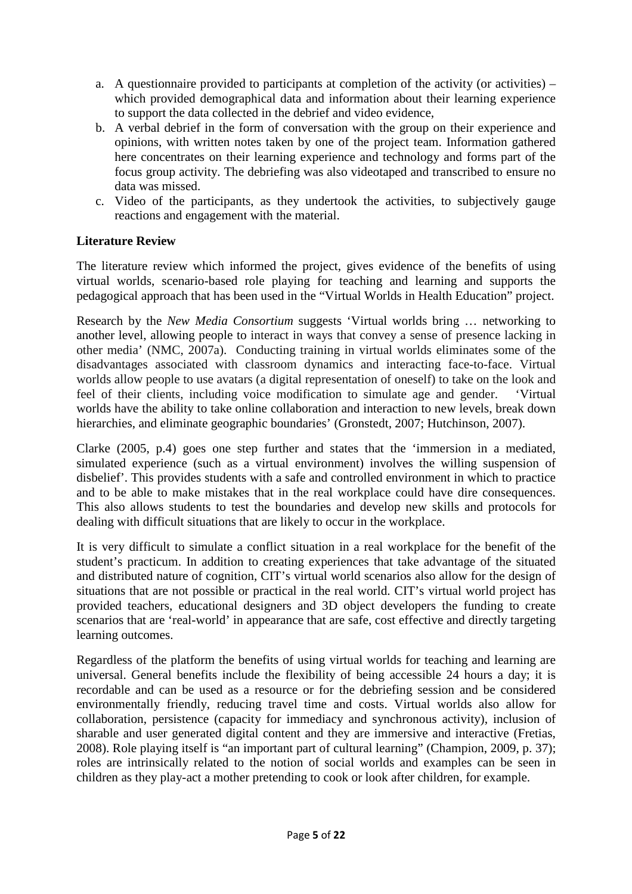- a. A questionnaire provided to participants at completion of the activity (or activities) which provided demographical data and information about their learning experience to support the data collected in the debrief and video evidence,
- b. A verbal debrief in the form of conversation with the group on their experience and opinions, with written notes taken by one of the project team. Information gathered here concentrates on their learning experience and technology and forms part of the focus group activity. The debriefing was also videotaped and transcribed to ensure no data was missed.
- c. Video of the participants, as they undertook the activities, to subjectively gauge reactions and engagement with the material.

# **Literature Review**

The literature review which informed the project, gives evidence of the benefits of using virtual worlds, scenario-based role playing for teaching and learning and supports the pedagogical approach that has been used in the "Virtual Worlds in Health Education" project.

Research by the *New Media Consortium* suggests 'Virtual worlds bring … networking to another level, allowing people to interact in ways that convey a sense of presence lacking in other media' (NMC, 2007a). Conducting training in virtual worlds eliminates some of the disadvantages associated with classroom dynamics and interacting face-to-face. Virtual worlds allow people to use avatars (a digital representation of oneself) to take on the look and feel of their clients, including voice modification to simulate age and gender. 'Virtual worlds have the ability to take online collaboration and interaction to new levels, break down hierarchies, and eliminate geographic boundaries' (Gronstedt, 2007; Hutchinson, 2007).

Clarke (2005, p.4) goes one step further and states that the 'immersion in a mediated, simulated experience (such as a virtual environment) involves the willing suspension of disbelief'. This provides students with a safe and controlled environment in which to practice and to be able to make mistakes that in the real workplace could have dire consequences. This also allows students to test the boundaries and develop new skills and protocols for dealing with difficult situations that are likely to occur in the workplace.

It is very difficult to simulate a conflict situation in a real workplace for the benefit of the student's practicum. In addition to creating experiences that take advantage of the situated and distributed nature of cognition, CIT's virtual world scenarios also allow for the design of situations that are not possible or practical in the real world. CIT's virtual world project has provided teachers, educational designers and 3D object developers the funding to create scenarios that are 'real-world' in appearance that are safe, cost effective and directly targeting learning outcomes.

Regardless of the platform the benefits of using virtual worlds for teaching and learning are universal. General benefits include the flexibility of being accessible 24 hours a day; it is recordable and can be used as a resource or for the debriefing session and be considered environmentally friendly, reducing travel time and costs. Virtual worlds also allow for collaboration, persistence (capacity for immediacy and synchronous activity), inclusion of sharable and user generated digital content and they are immersive and interactive (Fretias, 2008). Role playing itself is "an important part of cultural learning" (Champion, 2009, p. 37); roles are intrinsically related to the notion of social worlds and examples can be seen in children as they play-act a mother pretending to cook or look after children, for example.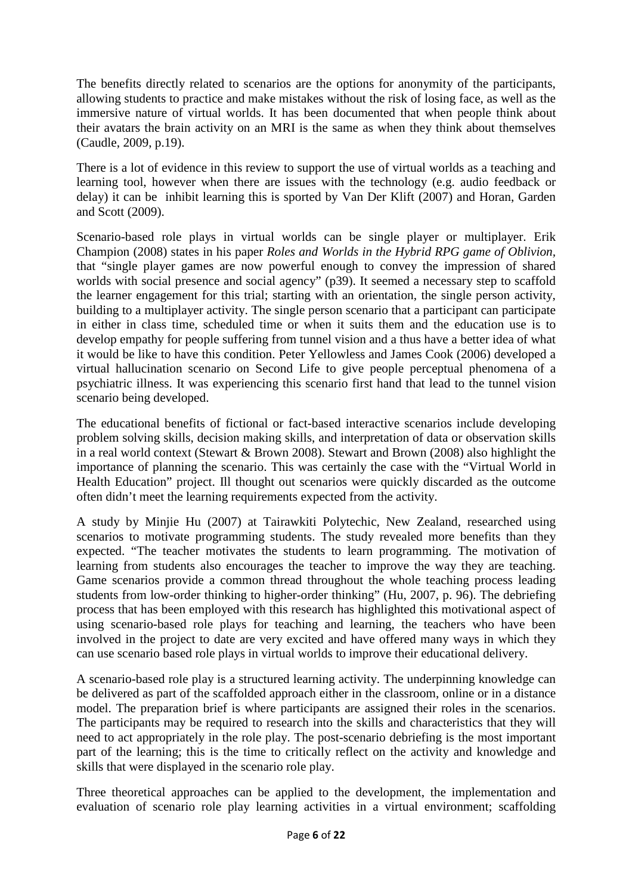The benefits directly related to scenarios are the options for anonymity of the participants, allowing students to practice and make mistakes without the risk of losing face, as well as the immersive nature of virtual worlds. It has been documented that when people think about their avatars the brain activity on an MRI is the same as when they think about themselves (Caudle, 2009, p.19).

There is a lot of evidence in this review to support the use of virtual worlds as a teaching and learning tool, however when there are issues with the technology (e.g. audio feedback or delay) it can be inhibit learning this is sported by Van Der Klift (2007) and Horan, Garden and Scott (2009).

Scenario-based role plays in virtual worlds can be single player or multiplayer. Erik Champion (2008) states in his paper *Roles and Worlds in the Hybrid RPG game of Oblivion,*  that "single player games are now powerful enough to convey the impression of shared worlds with social presence and social agency" (p39). It seemed a necessary step to scaffold the learner engagement for this trial; starting with an orientation, the single person activity, building to a multiplayer activity. The single person scenario that a participant can participate in either in class time, scheduled time or when it suits them and the education use is to develop empathy for people suffering from tunnel vision and a thus have a better idea of what it would be like to have this condition. Peter Yellowless and James Cook (2006) developed a virtual hallucination scenario on Second Life to give people perceptual phenomena of a psychiatric illness. It was experiencing this scenario first hand that lead to the tunnel vision scenario being developed.

The educational benefits of fictional or fact-based interactive scenarios include developing problem solving skills, decision making skills, and interpretation of data or observation skills in a real world context (Stewart & Brown 2008). Stewart and Brown (2008) also highlight the importance of planning the scenario. This was certainly the case with the "Virtual World in Health Education" project. Ill thought out scenarios were quickly discarded as the outcome often didn't meet the learning requirements expected from the activity.

A study by Minjie Hu (2007) at Tairawkiti Polytechic, New Zealand, researched using scenarios to motivate programming students. The study revealed more benefits than they expected. "The teacher motivates the students to learn programming. The motivation of learning from students also encourages the teacher to improve the way they are teaching. Game scenarios provide a common thread throughout the whole teaching process leading students from low-order thinking to higher-order thinking" (Hu, 2007, p. 96). The debriefing process that has been employed with this research has highlighted this motivational aspect of using scenario-based role plays for teaching and learning, the teachers who have been involved in the project to date are very excited and have offered many ways in which they can use scenario based role plays in virtual worlds to improve their educational delivery.

A scenario-based role play is a structured learning activity. The underpinning knowledge can be delivered as part of the scaffolded approach either in the classroom, online or in a distance model. The preparation brief is where participants are assigned their roles in the scenarios. The participants may be required to research into the skills and characteristics that they will need to act appropriately in the role play. The post-scenario debriefing is the most important part of the learning; this is the time to critically reflect on the activity and knowledge and skills that were displayed in the scenario role play.

Three theoretical approaches can be applied to the development, the implementation and evaluation of scenario role play learning activities in a virtual environment; scaffolding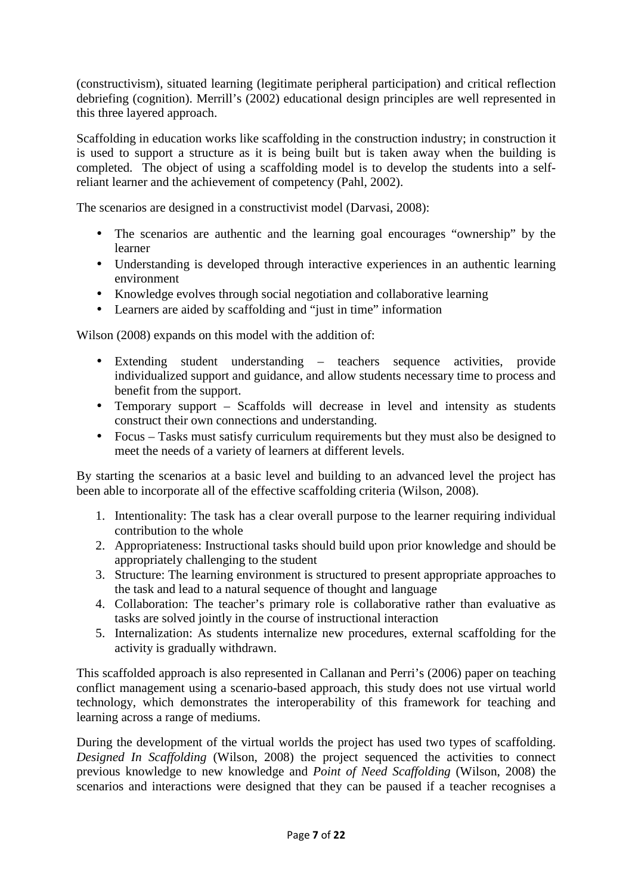(constructivism), situated learning (legitimate peripheral participation) and critical reflection debriefing (cognition). Merrill's (2002) educational design principles are well represented in this three layered approach.

Scaffolding in education works like scaffolding in the construction industry; in construction it is used to support a structure as it is being built but is taken away when the building is completed. The object of using a scaffolding model is to develop the students into a selfreliant learner and the achievement of competency (Pahl, 2002).

The scenarios are designed in a constructivist model (Darvasi, 2008):

- The scenarios are authentic and the learning goal encourages "ownership" by the learner
- Understanding is developed through interactive experiences in an authentic learning environment
- Knowledge evolves through social negotiation and collaborative learning
- Learners are aided by scaffolding and "just in time" information

Wilson (2008) expands on this model with the addition of:

- Extending student understanding teachers sequence activities, provide individualized support and guidance, and allow students necessary time to process and benefit from the support.
- Temporary support Scaffolds will decrease in level and intensity as students construct their own connections and understanding.
- Focus Tasks must satisfy curriculum requirements but they must also be designed to meet the needs of a variety of learners at different levels.

By starting the scenarios at a basic level and building to an advanced level the project has been able to incorporate all of the effective scaffolding criteria (Wilson, 2008).

- 1. Intentionality: The task has a clear overall purpose to the learner requiring individual contribution to the whole
- 2. Appropriateness: Instructional tasks should build upon prior knowledge and should be appropriately challenging to the student
- 3. Structure: The learning environment is structured to present appropriate approaches to the task and lead to a natural sequence of thought and language
- 4. Collaboration: The teacher's primary role is collaborative rather than evaluative as tasks are solved jointly in the course of instructional interaction
- 5. Internalization: As students internalize new procedures, external scaffolding for the activity is gradually withdrawn.

This scaffolded approach is also represented in Callanan and Perri's (2006) paper on teaching conflict management using a scenario-based approach, this study does not use virtual world technology, which demonstrates the interoperability of this framework for teaching and learning across a range of mediums.

During the development of the virtual worlds the project has used two types of scaffolding. *Designed In Scaffolding* (Wilson, 2008) the project sequenced the activities to connect previous knowledge to new knowledge and *Point of Need Scaffolding* (Wilson, 2008) the scenarios and interactions were designed that they can be paused if a teacher recognises a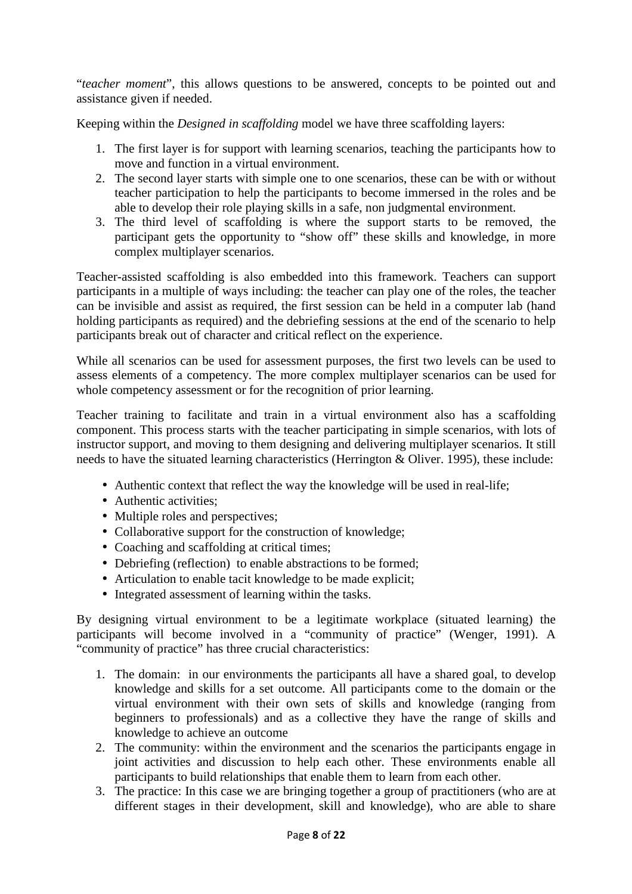"*teacher moment*", this allows questions to be answered, concepts to be pointed out and assistance given if needed.

Keeping within the *Designed in scaffolding* model we have three scaffolding layers:

- 1. The first layer is for support with learning scenarios, teaching the participants how to move and function in a virtual environment.
- 2. The second layer starts with simple one to one scenarios, these can be with or without teacher participation to help the participants to become immersed in the roles and be able to develop their role playing skills in a safe, non judgmental environment.
- 3. The third level of scaffolding is where the support starts to be removed, the participant gets the opportunity to "show off" these skills and knowledge, in more complex multiplayer scenarios.

Teacher-assisted scaffolding is also embedded into this framework. Teachers can support participants in a multiple of ways including: the teacher can play one of the roles, the teacher can be invisible and assist as required, the first session can be held in a computer lab (hand holding participants as required) and the debriefing sessions at the end of the scenario to help participants break out of character and critical reflect on the experience.

While all scenarios can be used for assessment purposes, the first two levels can be used to assess elements of a competency. The more complex multiplayer scenarios can be used for whole competency assessment or for the recognition of prior learning.

Teacher training to facilitate and train in a virtual environment also has a scaffolding component. This process starts with the teacher participating in simple scenarios, with lots of instructor support, and moving to them designing and delivering multiplayer scenarios. It still needs to have the situated learning characteristics (Herrington & Oliver. 1995), these include:

- Authentic context that reflect the way the knowledge will be used in real-life;
- Authentic activities:
- Multiple roles and perspectives;
- Collaborative support for the construction of knowledge;
- Coaching and scaffolding at critical times;
- Debriefing (reflection) to enable abstractions to be formed;
- Articulation to enable tacit knowledge to be made explicit;
- Integrated assessment of learning within the tasks.

By designing virtual environment to be a legitimate workplace (situated learning) the participants will become involved in a "community of practice" (Wenger, 1991). A "community of practice" has three crucial characteristics:

- 1. The domain: in our environments the participants all have a shared goal, to develop knowledge and skills for a set outcome. All participants come to the domain or the virtual environment with their own sets of skills and knowledge (ranging from beginners to professionals) and as a collective they have the range of skills and knowledge to achieve an outcome
- 2. The community: within the environment and the scenarios the participants engage in joint activities and discussion to help each other. These environments enable all participants to build relationships that enable them to learn from each other.
- 3. The practice: In this case we are bringing together a group of practitioners (who are at different stages in their development, skill and knowledge), who are able to share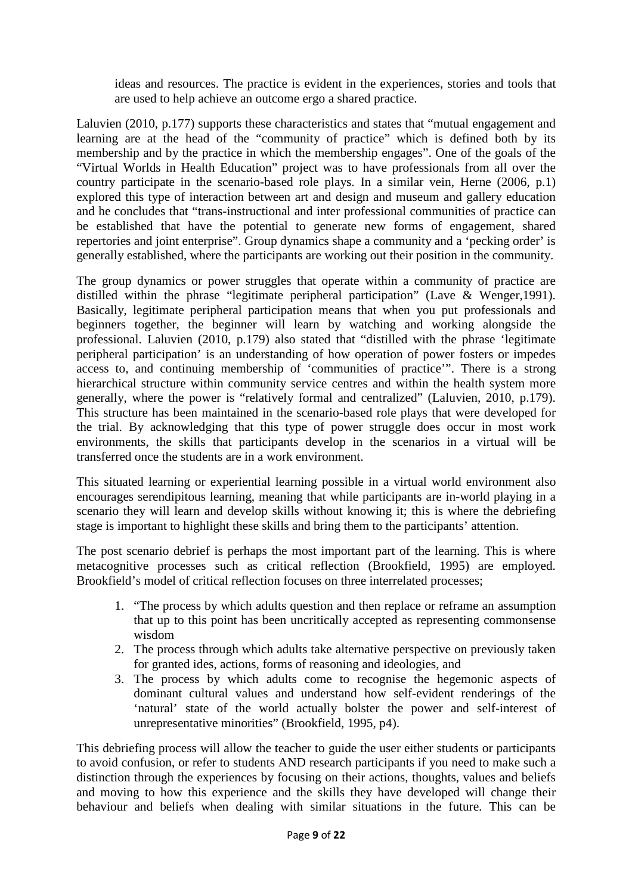ideas and resources. The practice is evident in the experiences, stories and tools that are used to help achieve an outcome ergo a shared practice.

Laluvien (2010, p.177) supports these characteristics and states that "mutual engagement and learning are at the head of the "community of practice" which is defined both by its membership and by the practice in which the membership engages". One of the goals of the "Virtual Worlds in Health Education" project was to have professionals from all over the country participate in the scenario-based role plays. In a similar vein, Herne (2006, p.1) explored this type of interaction between art and design and museum and gallery education and he concludes that "trans-instructional and inter professional communities of practice can be established that have the potential to generate new forms of engagement, shared repertories and joint enterprise". Group dynamics shape a community and a 'pecking order' is generally established, where the participants are working out their position in the community.

The group dynamics or power struggles that operate within a community of practice are distilled within the phrase "legitimate peripheral participation" (Lave & Wenger,1991). Basically, legitimate peripheral participation means that when you put professionals and beginners together, the beginner will learn by watching and working alongside the professional. Laluvien (2010, p.179) also stated that "distilled with the phrase 'legitimate peripheral participation' is an understanding of how operation of power fosters or impedes access to, and continuing membership of 'communities of practice'". There is a strong hierarchical structure within community service centres and within the health system more generally, where the power is "relatively formal and centralized" (Laluvien, 2010, p.179). This structure has been maintained in the scenario-based role plays that were developed for the trial. By acknowledging that this type of power struggle does occur in most work environments, the skills that participants develop in the scenarios in a virtual will be transferred once the students are in a work environment.

This situated learning or experiential learning possible in a virtual world environment also encourages serendipitous learning, meaning that while participants are in-world playing in a scenario they will learn and develop skills without knowing it; this is where the debriefing stage is important to highlight these skills and bring them to the participants' attention.

The post scenario debrief is perhaps the most important part of the learning. This is where metacognitive processes such as critical reflection (Brookfield, 1995) are employed. Brookfield's model of critical reflection focuses on three interrelated processes;

- 1. "The process by which adults question and then replace or reframe an assumption that up to this point has been uncritically accepted as representing commonsense wisdom
- 2. The process through which adults take alternative perspective on previously taken for granted ides, actions, forms of reasoning and ideologies, and
- 3. The process by which adults come to recognise the hegemonic aspects of dominant cultural values and understand how self-evident renderings of the 'natural' state of the world actually bolster the power and self-interest of unrepresentative minorities" (Brookfield, 1995, p4).

This debriefing process will allow the teacher to guide the user either students or participants to avoid confusion, or refer to students AND research participants if you need to make such a distinction through the experiences by focusing on their actions, thoughts, values and beliefs and moving to how this experience and the skills they have developed will change their behaviour and beliefs when dealing with similar situations in the future. This can be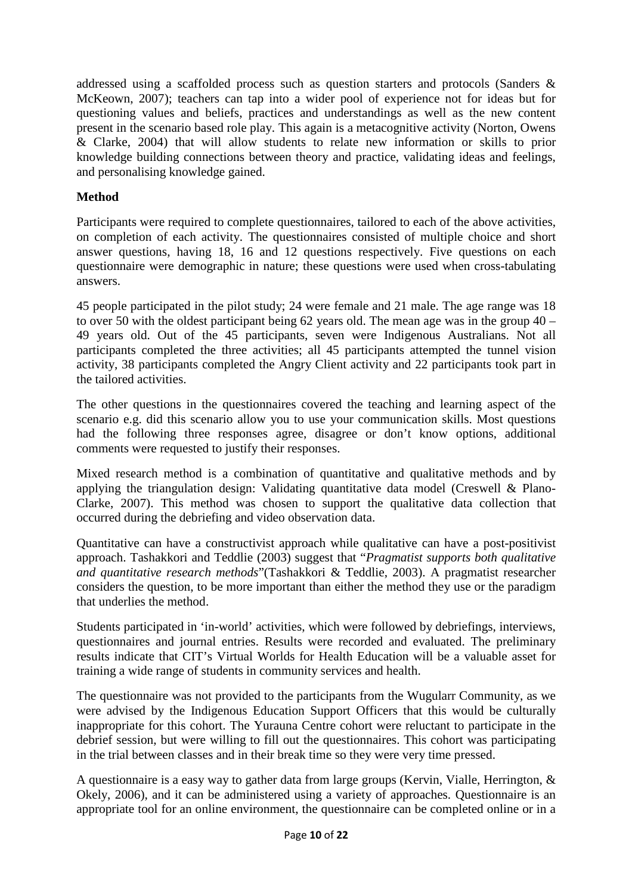addressed using a scaffolded process such as question starters and protocols (Sanders & McKeown, 2007); teachers can tap into a wider pool of experience not for ideas but for questioning values and beliefs, practices and understandings as well as the new content present in the scenario based role play. This again is a metacognitive activity (Norton, Owens & Clarke, 2004) that will allow students to relate new information or skills to prior knowledge building connections between theory and practice, validating ideas and feelings, and personalising knowledge gained.

# **Method**

Participants were required to complete questionnaires, tailored to each of the above activities, on completion of each activity. The questionnaires consisted of multiple choice and short answer questions, having 18, 16 and 12 questions respectively. Five questions on each questionnaire were demographic in nature; these questions were used when cross-tabulating answers.

45 people participated in the pilot study; 24 were female and 21 male. The age range was 18 to over 50 with the oldest participant being 62 years old. The mean age was in the group 40 – 49 years old. Out of the 45 participants, seven were Indigenous Australians. Not all participants completed the three activities; all 45 participants attempted the tunnel vision activity, 38 participants completed the Angry Client activity and 22 participants took part in the tailored activities.

The other questions in the questionnaires covered the teaching and learning aspect of the scenario e.g. did this scenario allow you to use your communication skills. Most questions had the following three responses agree, disagree or don't know options, additional comments were requested to justify their responses.

Mixed research method is a combination of quantitative and qualitative methods and by applying the triangulation design: Validating quantitative data model (Creswell & Plano-Clarke, 2007). This method was chosen to support the qualitative data collection that occurred during the debriefing and video observation data.

Quantitative can have a constructivist approach while qualitative can have a post-positivist approach. Tashakkori and Teddlie (2003) suggest that "*Pragmatist supports both qualitative and quantitative research methods*"(Tashakkori & Teddlie, 2003). A pragmatist researcher considers the question, to be more important than either the method they use or the paradigm that underlies the method.

Students participated in 'in-world' activities, which were followed by debriefings, interviews, questionnaires and journal entries. Results were recorded and evaluated. The preliminary results indicate that CIT's Virtual Worlds for Health Education will be a valuable asset for training a wide range of students in community services and health.

The questionnaire was not provided to the participants from the Wugularr Community, as we were advised by the Indigenous Education Support Officers that this would be culturally inappropriate for this cohort. The Yurauna Centre cohort were reluctant to participate in the debrief session, but were willing to fill out the questionnaires. This cohort was participating in the trial between classes and in their break time so they were very time pressed.

A questionnaire is a easy way to gather data from large groups (Kervin, Vialle, Herrington, & Okely, 2006), and it can be administered using a variety of approaches. Questionnaire is an appropriate tool for an online environment, the questionnaire can be completed online or in a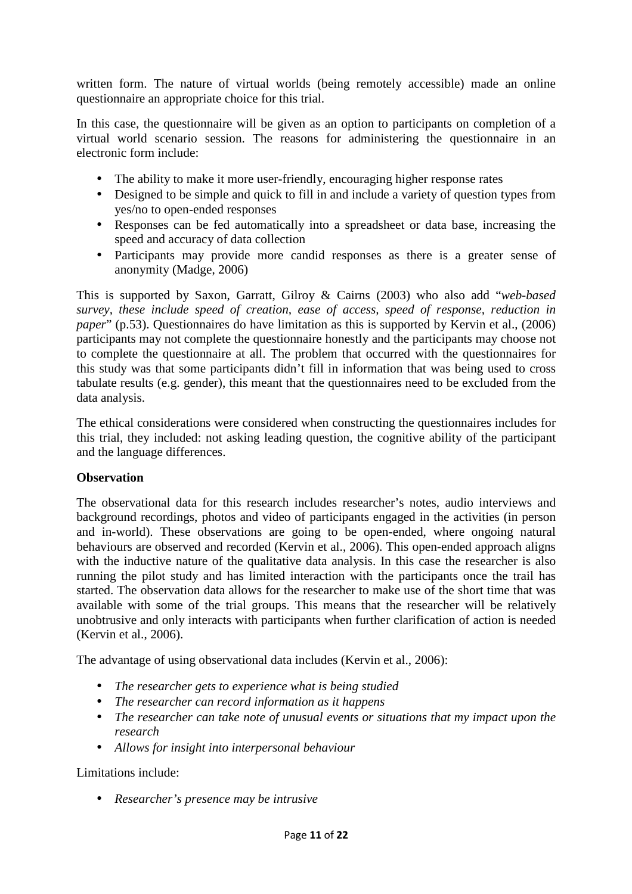written form. The nature of virtual worlds (being remotely accessible) made an online questionnaire an appropriate choice for this trial.

In this case, the questionnaire will be given as an option to participants on completion of a virtual world scenario session. The reasons for administering the questionnaire in an electronic form include:

- The ability to make it more user-friendly, encouraging higher response rates
- Designed to be simple and quick to fill in and include a variety of question types from yes/no to open-ended responses
- Responses can be fed automatically into a spreadsheet or data base, increasing the speed and accuracy of data collection
- Participants may provide more candid responses as there is a greater sense of anonymity (Madge, 2006)

This is supported by Saxon, Garratt, Gilroy & Cairns (2003) who also add "*web-based survey, these include speed of creation, ease of access, speed of response, reduction in paper*" (p.53). Questionnaires do have limitation as this is supported by Kervin et al., (2006) participants may not complete the questionnaire honestly and the participants may choose not to complete the questionnaire at all. The problem that occurred with the questionnaires for this study was that some participants didn't fill in information that was being used to cross tabulate results (e.g. gender), this meant that the questionnaires need to be excluded from the data analysis.

The ethical considerations were considered when constructing the questionnaires includes for this trial, they included: not asking leading question, the cognitive ability of the participant and the language differences.

# **Observation**

The observational data for this research includes researcher's notes, audio interviews and background recordings, photos and video of participants engaged in the activities (in person and in-world). These observations are going to be open-ended, where ongoing natural behaviours are observed and recorded (Kervin et al., 2006). This open-ended approach aligns with the inductive nature of the qualitative data analysis. In this case the researcher is also running the pilot study and has limited interaction with the participants once the trail has started. The observation data allows for the researcher to make use of the short time that was available with some of the trial groups. This means that the researcher will be relatively unobtrusive and only interacts with participants when further clarification of action is needed (Kervin et al., 2006).

The advantage of using observational data includes (Kervin et al., 2006):

- *The researcher gets to experience what is being studied*
- *The researcher can record information as it happens*
- *The researcher can take note of unusual events or situations that my impact upon the research*
- *Allows for insight into interpersonal behaviour*

Limitations include:

• *Researcher's presence may be intrusive*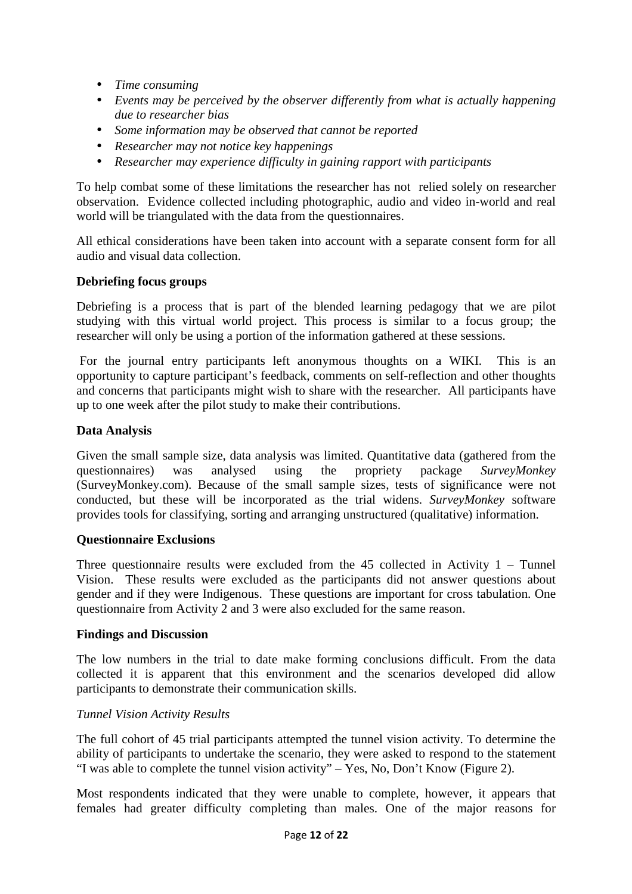- *Time consuming*
- *Events may be perceived by the observer differently from what is actually happening due to researcher bias*
- *Some information may be observed that cannot be reported*
- *Researcher may not notice key happenings*
- *Researcher may experience difficulty in gaining rapport with participants*

To help combat some of these limitations the researcher has not relied solely on researcher observation. Evidence collected including photographic, audio and video in-world and real world will be triangulated with the data from the questionnaires.

All ethical considerations have been taken into account with a separate consent form for all audio and visual data collection.

## **Debriefing focus groups**

Debriefing is a process that is part of the blended learning pedagogy that we are pilot studying with this virtual world project. This process is similar to a focus group; the researcher will only be using a portion of the information gathered at these sessions.

 For the journal entry participants left anonymous thoughts on a WIKI. This is an opportunity to capture participant's feedback, comments on self-reflection and other thoughts and concerns that participants might wish to share with the researcher. All participants have up to one week after the pilot study to make their contributions.

#### **Data Analysis**

Given the small sample size, data analysis was limited. Quantitative data (gathered from the questionnaires) was analysed using the propriety package *SurveyMonkey* (SurveyMonkey.com). Because of the small sample sizes, tests of significance were not conducted, but these will be incorporated as the trial widens. *SurveyMonkey* software provides tools for classifying, sorting and arranging unstructured (qualitative) information.

#### **Questionnaire Exclusions**

Three questionnaire results were excluded from the 45 collected in Activity 1 – Tunnel Vision. These results were excluded as the participants did not answer questions about gender and if they were Indigenous. These questions are important for cross tabulation. One questionnaire from Activity 2 and 3 were also excluded for the same reason.

#### **Findings and Discussion**

The low numbers in the trial to date make forming conclusions difficult. From the data collected it is apparent that this environment and the scenarios developed did allow participants to demonstrate their communication skills.

#### *Tunnel Vision Activity Results*

The full cohort of 45 trial participants attempted the tunnel vision activity. To determine the ability of participants to undertake the scenario, they were asked to respond to the statement "I was able to complete the tunnel vision activity" – Yes, No, Don't Know (Figure 2).

Most respondents indicated that they were unable to complete, however, it appears that females had greater difficulty completing than males. One of the major reasons for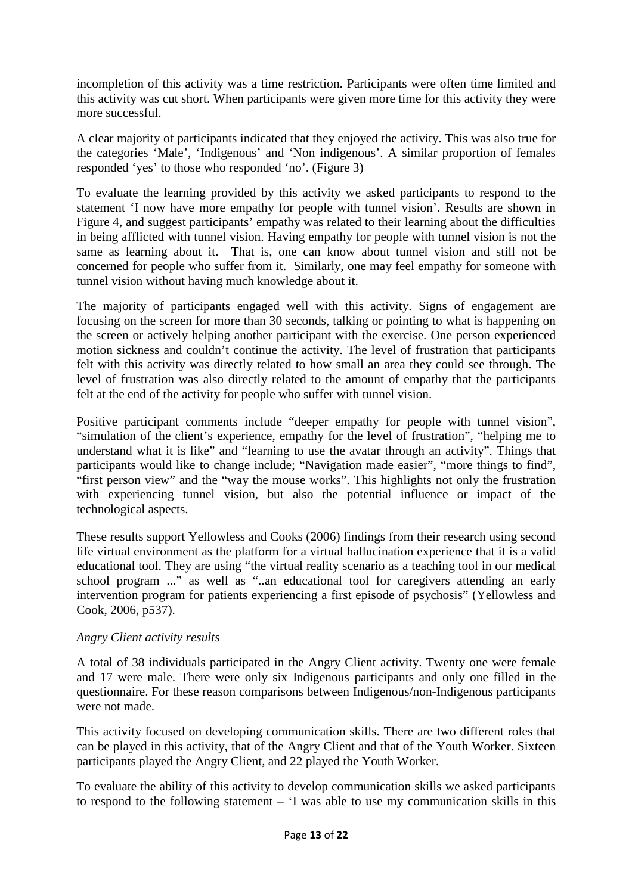incompletion of this activity was a time restriction. Participants were often time limited and this activity was cut short. When participants were given more time for this activity they were more successful.

A clear majority of participants indicated that they enjoyed the activity. This was also true for the categories 'Male', 'Indigenous' and 'Non indigenous'. A similar proportion of females responded 'yes' to those who responded 'no'. (Figure 3)

To evaluate the learning provided by this activity we asked participants to respond to the statement 'I now have more empathy for people with tunnel vision'. Results are shown in Figure 4, and suggest participants' empathy was related to their learning about the difficulties in being afflicted with tunnel vision. Having empathy for people with tunnel vision is not the same as learning about it. That is, one can know about tunnel vision and still not be concerned for people who suffer from it. Similarly, one may feel empathy for someone with tunnel vision without having much knowledge about it.

The majority of participants engaged well with this activity. Signs of engagement are focusing on the screen for more than 30 seconds, talking or pointing to what is happening on the screen or actively helping another participant with the exercise. One person experienced motion sickness and couldn't continue the activity. The level of frustration that participants felt with this activity was directly related to how small an area they could see through. The level of frustration was also directly related to the amount of empathy that the participants felt at the end of the activity for people who suffer with tunnel vision.

Positive participant comments include "deeper empathy for people with tunnel vision", "simulation of the client's experience, empathy for the level of frustration", "helping me to understand what it is like" and "learning to use the avatar through an activity". Things that participants would like to change include; "Navigation made easier", "more things to find", "first person view" and the "way the mouse works". This highlights not only the frustration with experiencing tunnel vision, but also the potential influence or impact of the technological aspects.

These results support Yellowless and Cooks (2006) findings from their research using second life virtual environment as the platform for a virtual hallucination experience that it is a valid educational tool. They are using "the virtual reality scenario as a teaching tool in our medical school program ..." as well as "..an educational tool for caregivers attending an early intervention program for patients experiencing a first episode of psychosis" (Yellowless and Cook, 2006, p537).

## *Angry Client activity results*

A total of 38 individuals participated in the Angry Client activity. Twenty one were female and 17 were male. There were only six Indigenous participants and only one filled in the questionnaire. For these reason comparisons between Indigenous/non-Indigenous participants were not made.

This activity focused on developing communication skills. There are two different roles that can be played in this activity, that of the Angry Client and that of the Youth Worker. Sixteen participants played the Angry Client, and 22 played the Youth Worker.

To evaluate the ability of this activity to develop communication skills we asked participants to respond to the following statement – 'I was able to use my communication skills in this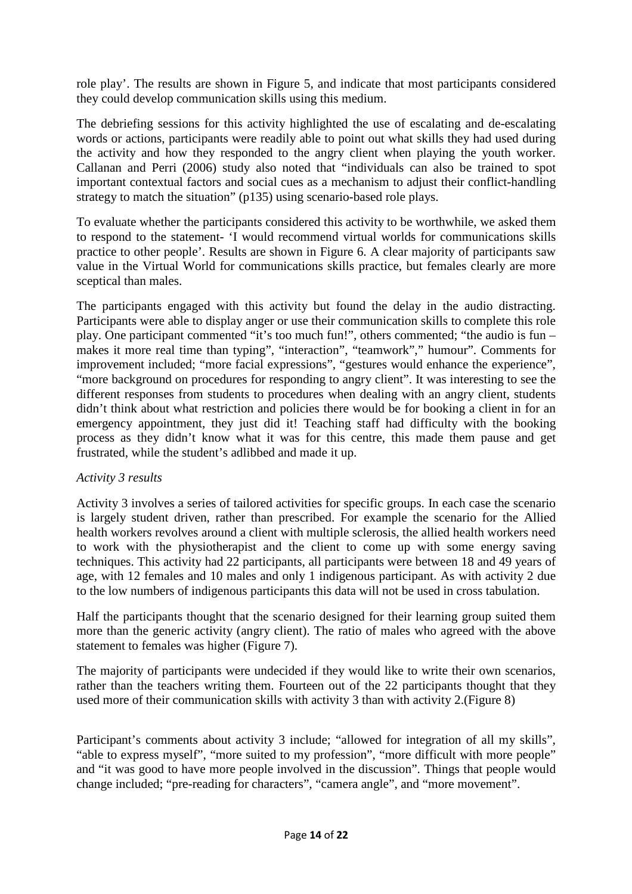role play'. The results are shown in Figure 5, and indicate that most participants considered they could develop communication skills using this medium.

The debriefing sessions for this activity highlighted the use of escalating and de-escalating words or actions, participants were readily able to point out what skills they had used during the activity and how they responded to the angry client when playing the youth worker. Callanan and Perri (2006) study also noted that "individuals can also be trained to spot important contextual factors and social cues as a mechanism to adjust their conflict-handling strategy to match the situation" (p135) using scenario-based role plays.

To evaluate whether the participants considered this activity to be worthwhile, we asked them to respond to the statement- 'I would recommend virtual worlds for communications skills practice to other people'. Results are shown in Figure 6. A clear majority of participants saw value in the Virtual World for communications skills practice, but females clearly are more sceptical than males.

The participants engaged with this activity but found the delay in the audio distracting. Participants were able to display anger or use their communication skills to complete this role play. One participant commented "it's too much fun!", others commented; "the audio is fun – makes it more real time than typing", "interaction", "teamwork"," humour". Comments for improvement included; "more facial expressions", "gestures would enhance the experience", "more background on procedures for responding to angry client". It was interesting to see the different responses from students to procedures when dealing with an angry client, students didn't think about what restriction and policies there would be for booking a client in for an emergency appointment, they just did it! Teaching staff had difficulty with the booking process as they didn't know what it was for this centre, this made them pause and get frustrated, while the student's adlibbed and made it up.

## *Activity 3 results*

Activity 3 involves a series of tailored activities for specific groups. In each case the scenario is largely student driven, rather than prescribed. For example the scenario for the Allied health workers revolves around a client with multiple sclerosis, the allied health workers need to work with the physiotherapist and the client to come up with some energy saving techniques. This activity had 22 participants, all participants were between 18 and 49 years of age, with 12 females and 10 males and only 1 indigenous participant. As with activity 2 due to the low numbers of indigenous participants this data will not be used in cross tabulation.

Half the participants thought that the scenario designed for their learning group suited them more than the generic activity (angry client). The ratio of males who agreed with the above statement to females was higher (Figure 7).

The majority of participants were undecided if they would like to write their own scenarios, rather than the teachers writing them. Fourteen out of the 22 participants thought that they used more of their communication skills with activity 3 than with activity 2.(Figure 8)

Participant's comments about activity 3 include; "allowed for integration of all my skills", "able to express myself", "more suited to my profession", "more difficult with more people" and "it was good to have more people involved in the discussion". Things that people would change included; "pre-reading for characters", "camera angle", and "more movement".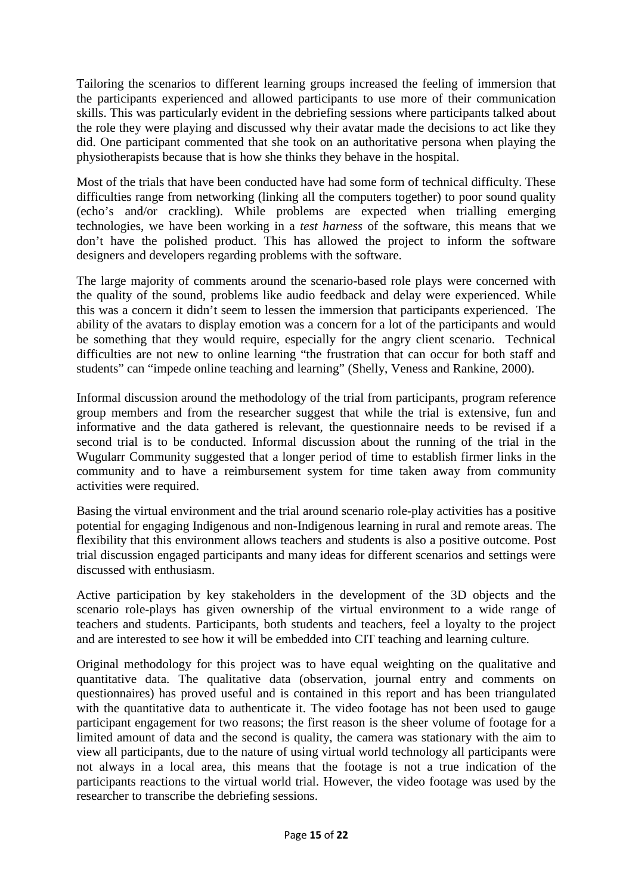Tailoring the scenarios to different learning groups increased the feeling of immersion that the participants experienced and allowed participants to use more of their communication skills. This was particularly evident in the debriefing sessions where participants talked about the role they were playing and discussed why their avatar made the decisions to act like they did. One participant commented that she took on an authoritative persona when playing the physiotherapists because that is how she thinks they behave in the hospital.

Most of the trials that have been conducted have had some form of technical difficulty. These difficulties range from networking (linking all the computers together) to poor sound quality (echo's and/or crackling). While problems are expected when trialling emerging technologies, we have been working in a *test harness* of the software, this means that we don't have the polished product. This has allowed the project to inform the software designers and developers regarding problems with the software.

The large majority of comments around the scenario-based role plays were concerned with the quality of the sound, problems like audio feedback and delay were experienced. While this was a concern it didn't seem to lessen the immersion that participants experienced. The ability of the avatars to display emotion was a concern for a lot of the participants and would be something that they would require, especially for the angry client scenario. Technical difficulties are not new to online learning "the frustration that can occur for both staff and students" can "impede online teaching and learning" (Shelly, Veness and Rankine, 2000).

Informal discussion around the methodology of the trial from participants, program reference group members and from the researcher suggest that while the trial is extensive, fun and informative and the data gathered is relevant, the questionnaire needs to be revised if a second trial is to be conducted. Informal discussion about the running of the trial in the Wugularr Community suggested that a longer period of time to establish firmer links in the community and to have a reimbursement system for time taken away from community activities were required.

Basing the virtual environment and the trial around scenario role-play activities has a positive potential for engaging Indigenous and non-Indigenous learning in rural and remote areas. The flexibility that this environment allows teachers and students is also a positive outcome. Post trial discussion engaged participants and many ideas for different scenarios and settings were discussed with enthusiasm.

Active participation by key stakeholders in the development of the 3D objects and the scenario role-plays has given ownership of the virtual environment to a wide range of teachers and students. Participants, both students and teachers, feel a loyalty to the project and are interested to see how it will be embedded into CIT teaching and learning culture.

Original methodology for this project was to have equal weighting on the qualitative and quantitative data. The qualitative data (observation, journal entry and comments on questionnaires) has proved useful and is contained in this report and has been triangulated with the quantitative data to authenticate it. The video footage has not been used to gauge participant engagement for two reasons; the first reason is the sheer volume of footage for a limited amount of data and the second is quality, the camera was stationary with the aim to view all participants, due to the nature of using virtual world technology all participants were not always in a local area, this means that the footage is not a true indication of the participants reactions to the virtual world trial. However, the video footage was used by the researcher to transcribe the debriefing sessions.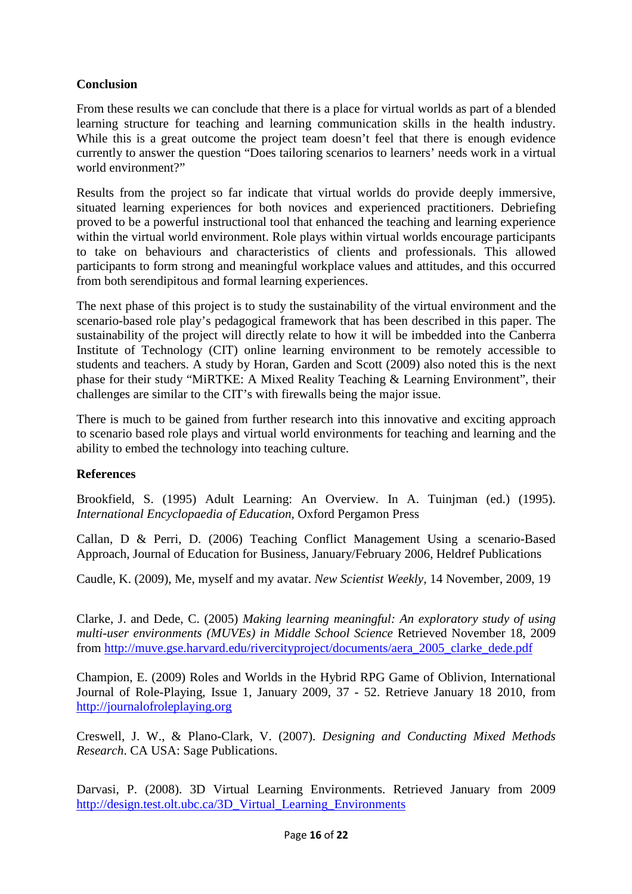# **Conclusion**

From these results we can conclude that there is a place for virtual worlds as part of a blended learning structure for teaching and learning communication skills in the health industry. While this is a great outcome the project team doesn't feel that there is enough evidence currently to answer the question "Does tailoring scenarios to learners' needs work in a virtual world environment?"

Results from the project so far indicate that virtual worlds do provide deeply immersive, situated learning experiences for both novices and experienced practitioners. Debriefing proved to be a powerful instructional tool that enhanced the teaching and learning experience within the virtual world environment. Role plays within virtual worlds encourage participants to take on behaviours and characteristics of clients and professionals. This allowed participants to form strong and meaningful workplace values and attitudes, and this occurred from both serendipitous and formal learning experiences.

The next phase of this project is to study the sustainability of the virtual environment and the scenario-based role play's pedagogical framework that has been described in this paper. The sustainability of the project will directly relate to how it will be imbedded into the Canberra Institute of Technology (CIT) online learning environment to be remotely accessible to students and teachers. A study by Horan, Garden and Scott (2009) also noted this is the next phase for their study "MiRTKE: A Mixed Reality Teaching & Learning Environment", their challenges are similar to the CIT's with firewalls being the major issue.

There is much to be gained from further research into this innovative and exciting approach to scenario based role plays and virtual world environments for teaching and learning and the ability to embed the technology into teaching culture.

## **References**

Brookfield, S. (1995) Adult Learning: An Overview. In A. Tuinjman (ed.) (1995). *International Encyclopaedia of Education,* Oxford Pergamon Press

Callan, D & Perri, D. (2006) Teaching Conflict Management Using a scenario-Based Approach, Journal of Education for Business, January/February 2006, Heldref Publications

Caudle, K. (2009), Me, myself and my avatar. *New Scientist Weekly,* 14 November, 2009, 19

Clarke, J. and Dede, C. (2005) *Making learning meaningful: An exploratory study of using multi-user environments (MUVEs) in Middle School Science* Retrieved November 18, 2009 from http://muve.gse.harvard.edu/rivercityproject/documents/aera\_2005\_clarke\_dede.pdf

Champion, E. (2009) Roles and Worlds in the Hybrid RPG Game of Oblivion, International Journal of Role-Playing, Issue 1, January 2009, 37 - 52. Retrieve January 18 2010, from http://journalofroleplaying.org

Creswell, J. W., & Plano-Clark, V. (2007). *Designing and Conducting Mixed Methods Research*. CA USA: Sage Publications.

Darvasi, P. (2008). 3D Virtual Learning Environments. Retrieved January from 2009 http://design.test.olt.ubc.ca/3D\_Virtual\_Learning\_Environments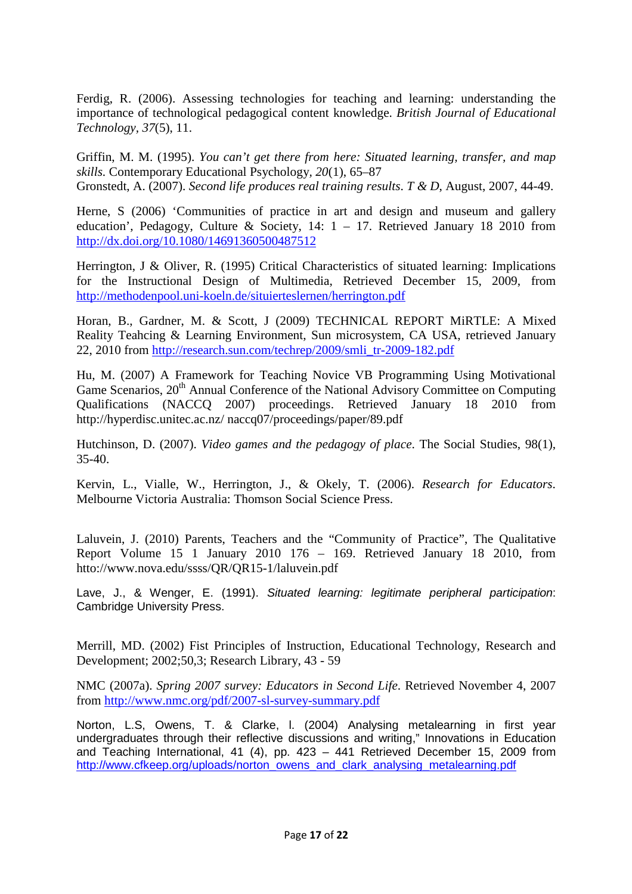Ferdig, R. (2006). Assessing technologies for teaching and learning: understanding the importance of technological pedagogical content knowledge. *British Journal of Educational Technology, 37*(5), 11.

Griffin, M. M. (1995). *You can't get there from here: Situated learning, transfer, and map skills.* Contemporary Educational Psychology*, 20*(1), 65–87 Gronstedt, A. (2007). *Second life produces real training results*. *T & D*, August, 2007, 44-49.

Herne, S (2006) 'Communities of practice in art and design and museum and gallery education', Pedagogy, Culture & Society, 14:  $1 - 17$ . Retrieved January 18 2010 from http://dx.doi.org/10.1080/14691360500487512

Herrington, J & Oliver, R. (1995) Critical Characteristics of situated learning: Implications for the Instructional Design of Multimedia, Retrieved December 15, 2009, from http://methodenpool.uni-koeln.de/situierteslernen/herrington.pdf

Horan, B., Gardner, M. & Scott, J (2009) TECHNICAL REPORT MiRTLE: A Mixed Reality Teahcing & Learning Environment, Sun microsystem, CA USA, retrieved January 22, 2010 from http://research.sun.com/techrep/2009/smli\_tr-2009-182.pdf

Hu, M. (2007) A Framework for Teaching Novice VB Programming Using Motivational Game Scenarios, 20<sup>th</sup> Annual Conference of the National Advisory Committee on Computing Qualifications (NACCQ 2007) proceedings. Retrieved January 18 2010 from http://hyperdisc.unitec.ac.nz/ naccq07/proceedings/paper/89.pdf

Hutchinson, D. (2007). *Video games and the pedagogy of place*. The Social Studies, 98(1), 35-40.

Kervin, L., Vialle, W., Herrington, J., & Okely, T. (2006). *Research for Educators*. Melbourne Victoria Australia: Thomson Social Science Press.

Laluvein, J. (2010) Parents, Teachers and the "Community of Practice", The Qualitative Report Volume 15 1 January 2010 176 – 169. Retrieved January 18 2010, from htto://www.nova.edu/ssss/QR/QR15-1/laluvein.pdf

Lave, J., & Wenger, E. (1991). Situated learning: legitimate peripheral participation: Cambridge University Press.

Merrill, MD. (2002) Fist Principles of Instruction, Educational Technology, Research and Development; 2002;50,3; Research Library, 43 - 59

NMC (2007a). *Spring 2007 survey: Educators in Second Life*. Retrieved November 4, 2007 from http://www.nmc.org/pdf/2007-sl-survey-summary.pdf

Norton, L.S, Owens, T. & Clarke, l. (2004) Analysing metalearning in first year undergraduates through their reflective discussions and writing," Innovations in Education and Teaching International, 41 (4), pp. 423 – 441 Retrieved December 15, 2009 from http://www.cfkeep.org/uploads/norton\_owens\_and\_clark\_analysing\_metalearning.pdf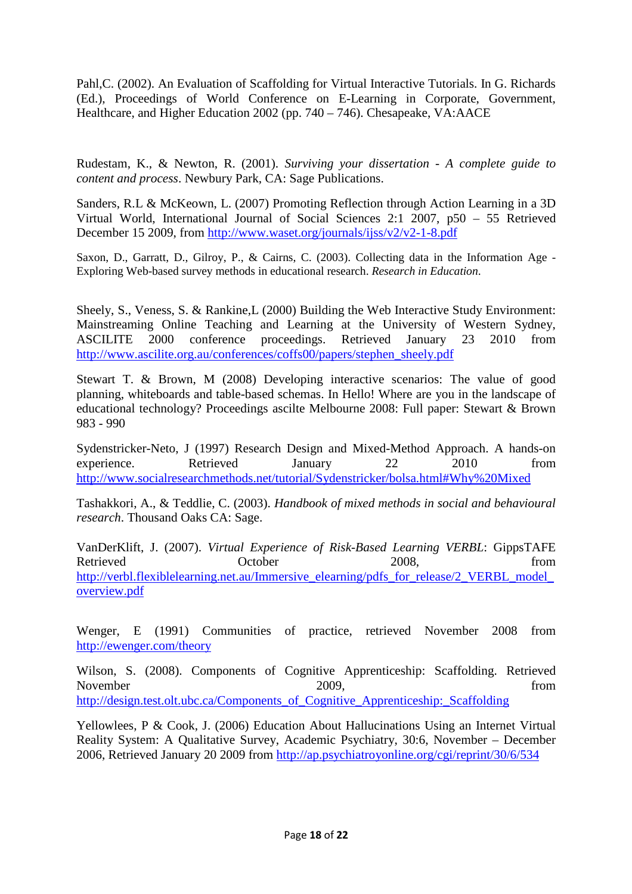Pahl,C. (2002). An Evaluation of Scaffolding for Virtual Interactive Tutorials. In G. Richards (Ed.), Proceedings of World Conference on E-Learning in Corporate, Government, Healthcare, and Higher Education 2002 (pp. 740 – 746). Chesapeake, VA:AACE

Rudestam, K., & Newton, R. (2001). *Surviving your dissertation - A complete guide to content and process*. Newbury Park, CA: Sage Publications.

Sanders, R.L & McKeown, L. (2007) Promoting Reflection through Action Learning in a 3D Virtual World, International Journal of Social Sciences 2:1 2007, p50 – 55 Retrieved December 15 2009, from http://www.waset.org/journals/ijss/v2/v2-1-8.pdf

Saxon, D., Garratt, D., Gilroy, P., & Cairns, C. (2003). Collecting data in the Information Age - Exploring Web-based survey methods in educational research. *Research in Education*.

Sheely, S., Veness, S. & Rankine,L (2000) Building the Web Interactive Study Environment: Mainstreaming Online Teaching and Learning at the University of Western Sydney, ASCILITE 2000 conference proceedings. Retrieved January 23 2010 from http://www.ascilite.org.au/conferences/coffs00/papers/stephen\_sheely.pdf

Stewart T. & Brown, M (2008) Developing interactive scenarios: The value of good planning, whiteboards and table-based schemas. In Hello! Where are you in the landscape of educational technology? Proceedings ascilte Melbourne 2008: Full paper: Stewart & Brown 983 - 990

Sydenstricker-Neto, J (1997) Research Design and Mixed-Method Approach. A hands-on experience. Retrieved January 22 2010 from http://www.socialresearchmethods.net/tutorial/Sydenstricker/bolsa.html#Why%20Mixed

Tashakkori, A., & Teddlie, C. (2003). *Handbook of mixed methods in social and behavioural research*. Thousand Oaks CA: Sage.

VanDerKlift, J. (2007). *Virtual Experience of Risk-Based Learning VERBL*: GippsTAFE Retrieved October 2008, from http://verbl.flexiblelearning.net.au/Immersive\_elearning/pdfs\_for\_release/2\_VERBL\_model overview.pdf

Wenger, E (1991) Communities of practice, retrieved November 2008 from http://ewenger.com/theory

Wilson, S. (2008). Components of Cognitive Apprenticeship: Scaffolding. Retrieved November 2009, from http://design.test.olt.ubc.ca/Components\_of\_Cognitive\_Apprenticeship:\_Scaffolding

Yellowlees, P & Cook, J. (2006) Education About Hallucinations Using an Internet Virtual Reality System: A Qualitative Survey, Academic Psychiatry, 30:6, November – December 2006, Retrieved January 20 2009 from http://ap.psychiatroyonline.org/cgi/reprint/30/6/534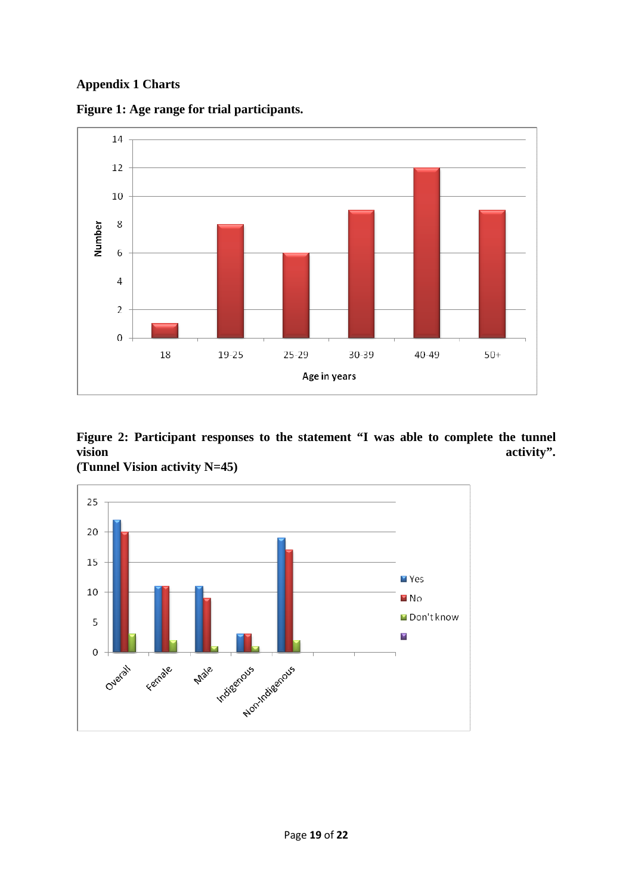# **Appendix 1 Charts**



**Figure 1: Age range for trial participants.** 

# Figure 2: Participant responses to the statement "I was able to complete the tunnel vision activity". activity".

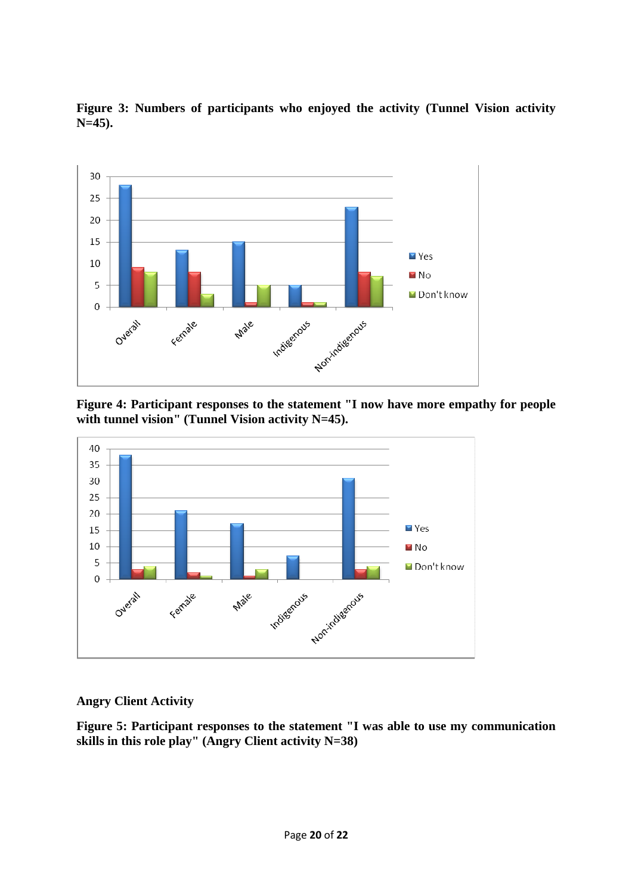

**Figure 3: Numbers of participants who enjoyed the activity (Tunnel Vision activity N=45).** 

**Figure 4: Participant responses to the statement "I now have more empathy for people with tunnel vision" (Tunnel Vision activity N=45).** 



**Angry Client Activity** 

**Figure 5: Participant responses to the statement "I was able to use my communication skills in this role play" (Angry Client activity N=38)**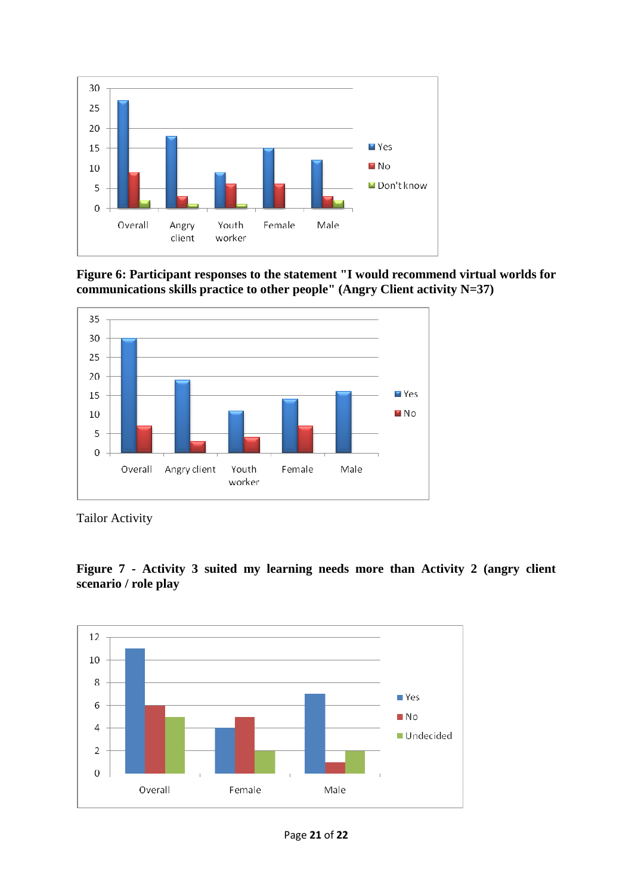

**Figure 6: Participant responses to the statement "I would recommend virtual worlds for communications skills practice to other people" (Angry Client activity N=37)** 



Tailor Activity

**Figure 7 - Activity 3 suited my learning needs more than Activity 2 (angry client scenario / role play**